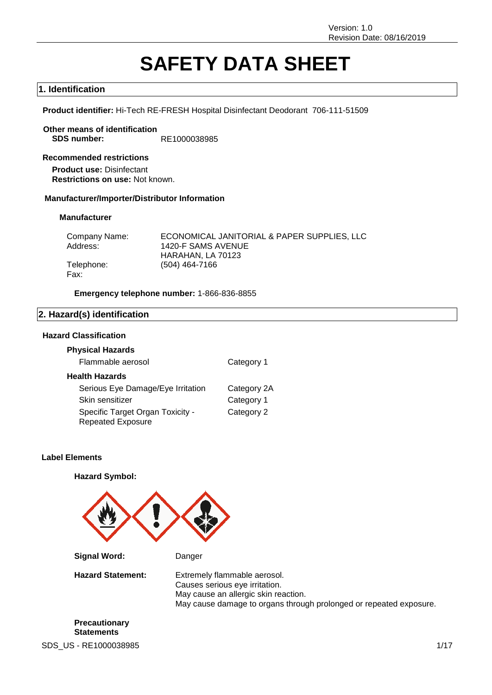# **SAFETY DATA SHEET**

### **1. Identification**

**Product identifier:** Hi-Tech RE-FRESH Hospital Disinfectant Deodorant 706-111-51509

**Other means of identification SDS number:** RE1000038985

**Recommended restrictions Product use:** Disinfectant **Restrictions on use:** Not known.

### **Manufacturer/Importer/Distributor Information**

#### **Manufacturer**

| Company Name: | ECONOMICAL JANITORIAL & PAPER SUPPLIES, LLC |
|---------------|---------------------------------------------|
| Address:      | 1420-F SAMS AVENUE                          |
|               | HARAHAN. LA 70123                           |
| Telephone:    | (504) 464-7166                              |
| Fax:          |                                             |

**Emergency telephone number:** 1-866-836-8855

### **2. Hazard(s) identification**

### **Hazard Classification**

### **Physical Hazards** Flammable aerosol **Category 1**

| <b>Health Hazards</b> |  |
|-----------------------|--|
|-----------------------|--|

| Serious Eye Damage/Eye Irritation | Category 2A |
|-----------------------------------|-------------|
| Skin sensitizer                   | Category 1  |
| Specific Target Organ Toxicity -  | Category 2  |
| <b>Repeated Exposure</b>          |             |

### **Label Elements**

**Hazard Symbol:**

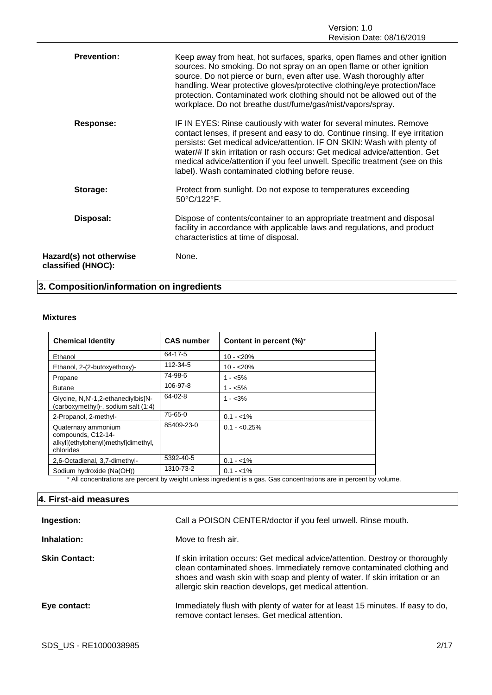| <b>Prevention:</b>                            | Keep away from heat, hot surfaces, sparks, open flames and other ignition<br>sources. No smoking. Do not spray on an open flame or other ignition<br>source. Do not pierce or burn, even after use. Wash thoroughly after<br>handling. Wear protective gloves/protective clothing/eye protection/face<br>protection. Contaminated work clothing should not be allowed out of the<br>workplace. Do not breathe dust/fume/gas/mist/vapors/spray.       |
|-----------------------------------------------|------------------------------------------------------------------------------------------------------------------------------------------------------------------------------------------------------------------------------------------------------------------------------------------------------------------------------------------------------------------------------------------------------------------------------------------------------|
| <b>Response:</b>                              | IF IN EYES: Rinse cautiously with water for several minutes. Remove<br>contact lenses, if present and easy to do. Continue rinsing. If eye irritation<br>persists: Get medical advice/attention. IF ON SKIN: Wash with plenty of<br>water/# If skin irritation or rash occurs: Get medical advice/attention. Get<br>medical advice/attention if you feel unwell. Specific treatment (see on this<br>label). Wash contaminated clothing before reuse. |
| Storage:                                      | Protect from sunlight. Do not expose to temperatures exceeding<br>50°C/122°F.                                                                                                                                                                                                                                                                                                                                                                        |
| Disposal:                                     | Dispose of contents/container to an appropriate treatment and disposal<br>facility in accordance with applicable laws and regulations, and product<br>characteristics at time of disposal.                                                                                                                                                                                                                                                           |
| Hazard(s) not otherwise<br>classified (HNOC): | None.                                                                                                                                                                                                                                                                                                                                                                                                                                                |

### **3. Composition/information on ingredients**

### **Mixtures**

| <b>Chemical Identity</b>                                                                      | <b>CAS number</b> | Content in percent (%)* |
|-----------------------------------------------------------------------------------------------|-------------------|-------------------------|
| Ethanol                                                                                       | 64-17-5           | $10 - 20%$              |
| Ethanol, 2-(2-butoxyethoxy)-                                                                  | 112-34-5          | $10 - 20%$              |
| Propane                                                                                       | 74-98-6           | 1 - <5%                 |
| <b>Butane</b>                                                                                 | 106-97-8          | $1 - 5\%$               |
| Glycine, N,N'-1,2-ethanediylbis[N-<br>(carboxymethyl)-, sodium salt (1:4)                     | $64 - 02 - 8$     | 1 - <3%                 |
| 2-Propanol, 2-methyl-                                                                         | 75-65-0           | $0.1 - 1\%$             |
| Quaternary ammonium<br>compounds, C12-14-<br>alkyl[(ethylphenyl)methyl]dimethyl,<br>chlorides | 85409-23-0        | $0.1 - 0.25\%$          |
| 2,6-Octadienal, 3,7-dimethyl-                                                                 | 5392-40-5         | $0.1 - 1\%$             |
| Sodium hydroxide (Na(OH))                                                                     | 1310-73-2         | $0.1 - 1\%$             |

\* All concentrations are percent by weight unless ingredient is a gas. Gas concentrations are in percent by volume.

### **4. First-aid measures**

| Ingestion:           | Call a POISON CENTER/doctor if you feel unwell. Rinse mouth.                                                                                                                                                                                                                                       |
|----------------------|----------------------------------------------------------------------------------------------------------------------------------------------------------------------------------------------------------------------------------------------------------------------------------------------------|
| Inhalation:          | Move to fresh air.                                                                                                                                                                                                                                                                                 |
| <b>Skin Contact:</b> | If skin irritation occurs: Get medical advice/attention. Destroy or thoroughly<br>clean contaminated shoes. Immediately remove contaminated clothing and<br>shoes and wash skin with soap and plenty of water. If skin irritation or an<br>allergic skin reaction develops, get medical attention. |
| Eye contact:         | Immediately flush with plenty of water for at least 15 minutes. If easy to do,<br>remove contact lenses. Get medical attention.                                                                                                                                                                    |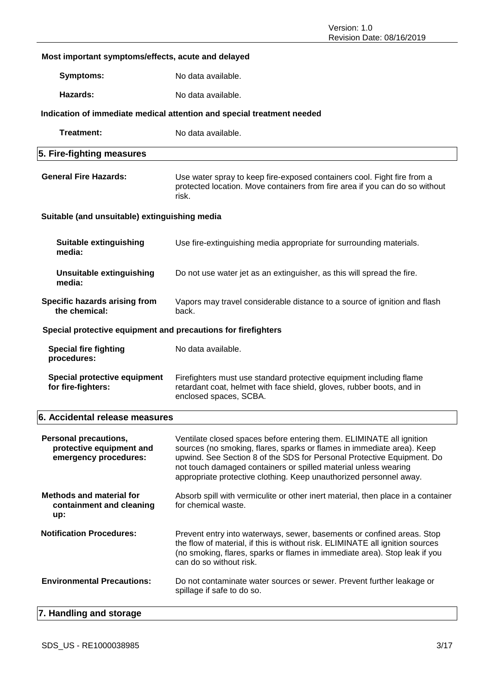### **Most important symptoms/effects, acute and delayed**

**Symptoms:** No data available.

**Hazards:** No data available.

### **Indication of immediate medical attention and special treatment needed**

| Treatment:                                                                        | No data available.                                                                                                                                                                                                                                                                                                                                                |  |  |
|-----------------------------------------------------------------------------------|-------------------------------------------------------------------------------------------------------------------------------------------------------------------------------------------------------------------------------------------------------------------------------------------------------------------------------------------------------------------|--|--|
| 5. Fire-fighting measures                                                         |                                                                                                                                                                                                                                                                                                                                                                   |  |  |
| <b>General Fire Hazards:</b>                                                      | Use water spray to keep fire-exposed containers cool. Fight fire from a<br>protected location. Move containers from fire area if you can do so without<br>risk.                                                                                                                                                                                                   |  |  |
| Suitable (and unsuitable) extinguishing media                                     |                                                                                                                                                                                                                                                                                                                                                                   |  |  |
| <b>Suitable extinguishing</b><br>media:                                           | Use fire-extinguishing media appropriate for surrounding materials.                                                                                                                                                                                                                                                                                               |  |  |
| <b>Unsuitable extinguishing</b><br>media:                                         | Do not use water jet as an extinguisher, as this will spread the fire.                                                                                                                                                                                                                                                                                            |  |  |
| Specific hazards arising from<br>the chemical:                                    | Vapors may travel considerable distance to a source of ignition and flash<br>back.                                                                                                                                                                                                                                                                                |  |  |
| Special protective equipment and precautions for firefighters                     |                                                                                                                                                                                                                                                                                                                                                                   |  |  |
| <b>Special fire fighting</b><br>procedures:                                       | No data available.                                                                                                                                                                                                                                                                                                                                                |  |  |
| <b>Special protective equipment</b><br>for fire-fighters:                         | Firefighters must use standard protective equipment including flame<br>retardant coat, helmet with face shield, gloves, rubber boots, and in<br>enclosed spaces, SCBA.                                                                                                                                                                                            |  |  |
| 6. Accidental release measures                                                    |                                                                                                                                                                                                                                                                                                                                                                   |  |  |
| <b>Personal precautions,</b><br>protective equipment and<br>emergency procedures: | Ventilate closed spaces before entering them. ELIMINATE all ignition<br>sources (no smoking, flares, sparks or flames in immediate area). Keep<br>upwind. See Section 8 of the SDS for Personal Protective Equipment. Do<br>not touch damaged containers or spilled material unless wearing<br>appropriate protective clothing. Keep unauthorized personnel away. |  |  |
| <b>Methods and material for</b><br>containment and cleaning<br>up:                | Absorb spill with vermiculite or other inert material, then place in a container<br>for chemical waste.                                                                                                                                                                                                                                                           |  |  |
| <b>Notification Procedures:</b>                                                   | Prevent entry into waterways, sewer, basements or confined areas. Stop<br>the flow of material, if this is without risk. ELIMINATE all ignition sources<br>(no smoking, flares, sparks or flames in immediate area). Stop leak if you<br>can do so without risk.                                                                                                  |  |  |
| <b>Environmental Precautions:</b>                                                 | Do not contaminate water sources or sewer. Prevent further leakage or<br>spillage if safe to do so.                                                                                                                                                                                                                                                               |  |  |

### **7. Handling and storage**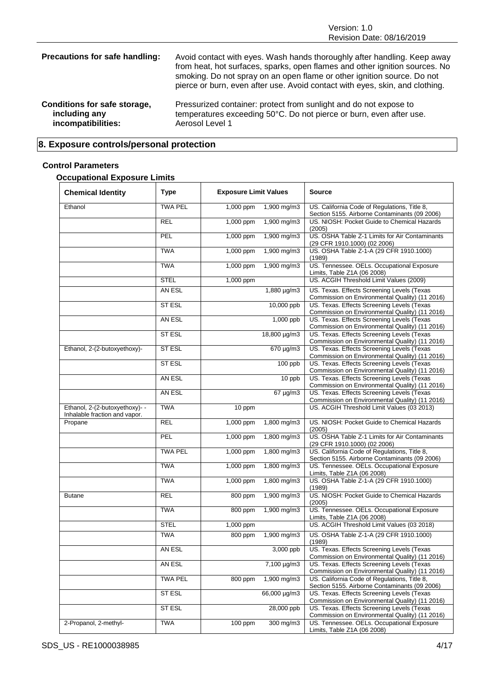| Precautions for safe handling: | Avoid contact with eyes. Wash hands thoroughly after handling. Keep away<br>from heat, hot surfaces, sparks, open flames and other ignition sources. No<br>smoking. Do not spray on an open flame or other ignition source. Do not<br>pierce or burn, even after use. Avoid contact with eyes, skin, and clothing. |
|--------------------------------|--------------------------------------------------------------------------------------------------------------------------------------------------------------------------------------------------------------------------------------------------------------------------------------------------------------------|
| Conditions for safe storage,   | Pressurized container: protect from sunlight and do not expose to                                                                                                                                                                                                                                                  |
| including any                  | temperatures exceeding 50°C. Do not pierce or burn, even after use.                                                                                                                                                                                                                                                |
| incompatibilities:             | Aerosol Level 1                                                                                                                                                                                                                                                                                                    |

## **8. Exposure controls/personal protection**

### **Control Parameters**

### **Occupational Exposure Limits**

| <b>Chemical Identity</b>                                        | <b>Type</b>    | <b>Exposure Limit Values</b> |               | <b>Source</b>                                                                                 |
|-----------------------------------------------------------------|----------------|------------------------------|---------------|-----------------------------------------------------------------------------------------------|
| Ethanol                                                         | <b>TWA PEL</b> | 1,000 ppm                    | 1,900 mg/m3   | US. California Code of Regulations, Title 8,<br>Section 5155. Airborne Contaminants (09 2006) |
|                                                                 | REL            | 1,000 ppm                    | 1,900 mg/m3   | US. NIOSH: Pocket Guide to Chemical Hazards<br>(2005)                                         |
|                                                                 | PEL            | 1,000 ppm                    | 1,900 mg/m3   | US. OSHA Table Z-1 Limits for Air Contaminants<br>(29 CFR 1910.1000) (02 2006)                |
|                                                                 | <b>TWA</b>     | 1,000 ppm                    | 1,900 mg/m3   | US. OSHA Table Z-1-A (29 CFR 1910.1000)<br>(1989)                                             |
|                                                                 | <b>TWA</b>     | 1,000 ppm                    | 1,900 mg/m3   | US. Tennessee. OELs. Occupational Exposure<br>Limits, Table Z1A (06 2008)                     |
|                                                                 | <b>STEL</b>    | 1,000 ppm                    |               | US. ACGIH Threshold Limit Values (2009)                                                       |
|                                                                 | AN ESL         |                              | 1,880 µg/m3   | US. Texas. Effects Screening Levels (Texas<br>Commission on Environmental Quality) (11 2016)  |
|                                                                 | <b>STESL</b>   |                              | 10,000 ppb    | US. Texas. Effects Screening Levels (Texas<br>Commission on Environmental Quality) (11 2016)  |
|                                                                 | AN ESL         |                              | 1,000 ppb     | US. Texas. Effects Screening Levels (Texas<br>Commission on Environmental Quality) (11 2016)  |
|                                                                 | <b>ST ESL</b>  |                              | 18,800 µg/m3  | US. Texas. Effects Screening Levels (Texas<br>Commission on Environmental Quality) (11 2016)  |
| Ethanol, 2-(2-butoxyethoxy)-                                    | <b>ST ESL</b>  |                              | 670 µg/m3     | US. Texas. Effects Screening Levels (Texas<br>Commission on Environmental Quality) (11 2016)  |
|                                                                 | <b>ST ESL</b>  |                              | 100 ppb       | US. Texas. Effects Screening Levels (Texas<br>Commission on Environmental Quality) (11 2016)  |
|                                                                 | AN ESL         |                              | 10 ppb        | US. Texas. Effects Screening Levels (Texas<br>Commission on Environmental Quality) (11 2016)  |
|                                                                 | AN ESL         |                              | $67 \mu g/m3$ | US. Texas. Effects Screening Levels (Texas<br>Commission on Environmental Quality) (11 2016)  |
| Ethanol, 2-(2-butoxyethoxy)- -<br>Inhalable fraction and vapor. | <b>TWA</b>     | 10 ppm                       |               | US. ACGIH Threshold Limit Values (03 2013)                                                    |
| Propane                                                         | REL            | 1,000 ppm                    | 1,800 mg/m3   | US. NIOSH: Pocket Guide to Chemical Hazards<br>(2005)                                         |
|                                                                 | PEL            | 1,000 ppm                    | 1,800 mg/m3   | US. OSHA Table Z-1 Limits for Air Contaminants<br>(29 CFR 1910.1000) (02 2006)                |
|                                                                 | <b>TWA PEL</b> | 1,000 ppm                    | 1,800 mg/m3   | US. California Code of Regulations, Title 8,<br>Section 5155. Airborne Contaminants (09 2006) |
|                                                                 | <b>TWA</b>     | 1,000 ppm                    | 1,800 mg/m3   | US. Tennessee. OELs. Occupational Exposure<br>Limits, Table Z1A (06 2008)                     |
|                                                                 | <b>TWA</b>     | 1,000 ppm                    | 1,800 mg/m3   | US. OSHA Table Z-1-A (29 CFR 1910.1000)<br>(1989)                                             |
| <b>Butane</b>                                                   | <b>REL</b>     | 800 ppm                      | 1,900 mg/m3   | US. NIOSH: Pocket Guide to Chemical Hazards<br>(2005)                                         |
|                                                                 | <b>TWA</b>     | 800 ppm                      | 1,900 mg/m3   | US. Tennessee. OELs. Occupational Exposure<br>Limits, Table Z1A (06 2008)                     |
|                                                                 | <b>STEL</b>    | 1,000 ppm                    |               | US. ACGIH Threshold Limit Values (03 2018)                                                    |
|                                                                 | <b>TWA</b>     | 800 ppm                      | 1,900 mg/m3   | US. OSHA Table Z-1-A (29 CFR 1910.1000)<br>(1989)                                             |
|                                                                 | AN ESL         |                              | 3,000 ppb     | US. Texas. Effects Screening Levels (Texas<br>Commission on Environmental Quality) (11 2016)  |
|                                                                 | AN ESL         |                              | 7,100 µg/m3   | US. Texas. Effects Screening Levels (Texas<br>Commission on Environmental Quality) (11 2016)  |
|                                                                 | <b>TWA PEL</b> | 800 ppm                      | 1,900 mg/m3   | US. California Code of Regulations, Title 8,<br>Section 5155. Airborne Contaminants (09 2006) |
|                                                                 | ST ESL         |                              | 66,000 µg/m3  | US. Texas. Effects Screening Levels (Texas<br>Commission on Environmental Quality) (11 2016)  |
|                                                                 | ST ESL         |                              | 28,000 ppb    | US. Texas. Effects Screening Levels (Texas<br>Commission on Environmental Quality) (11 2016)  |
| 2-Propanol, 2-methyl-                                           | <b>TWA</b>     | $100$ ppm                    | 300 mg/m3     | US. Tennessee. OELs. Occupational Exposure<br>Limits, Table Z1A (06 2008)                     |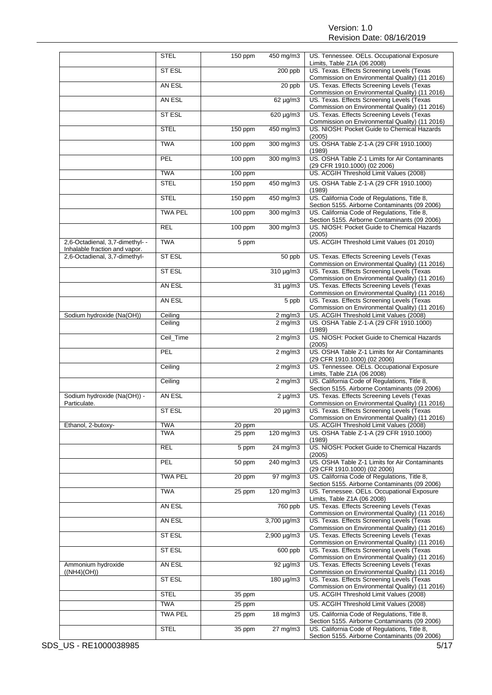|                                                                | <b>STEL</b>    | 150 ppm | 450 mg/m3            | US. Tennessee. OELs. Occupational Exposure<br>Limits, Table Z1A (06 2008)                     |
|----------------------------------------------------------------|----------------|---------|----------------------|-----------------------------------------------------------------------------------------------|
|                                                                | ST ESL         |         | $\overline{200}$ ppb | US. Texas. Effects Screening Levels (Texas<br>Commission on Environmental Quality) (11 2016)  |
|                                                                | AN ESL         |         | 20 ppb               | US. Texas. Effects Screening Levels (Texas<br>Commission on Environmental Quality) (11 2016)  |
|                                                                | AN ESL         |         | $62 \mu g/m3$        | US. Texas. Effects Screening Levels (Texas<br>Commission on Environmental Quality) (11 2016)  |
|                                                                | <b>ST ESL</b>  |         | 620 µg/m3            | US. Texas. Effects Screening Levels (Texas<br>Commission on Environmental Quality) (11 2016)  |
|                                                                | <b>STEL</b>    | 150 ppm | 450 mg/m3            | US. NIOSH: Pocket Guide to Chemical Hazards<br>(2005)                                         |
|                                                                | <b>TWA</b>     | 100 ppm | 300 mg/m3            | US. OSHA Table Z-1-A (29 CFR 1910.1000)                                                       |
|                                                                | <b>PEL</b>     | 100 ppm | 300 mg/m3            | (1989)<br>US. OSHA Table Z-1 Limits for Air Contaminants<br>(29 CFR 1910.1000) (02 2006)      |
|                                                                | <b>TWA</b>     | 100 ppm |                      | US. ACGIH Threshold Limit Values (2008)                                                       |
|                                                                | <b>STEL</b>    | 150 ppm | 450 mg/m3            | US. OSHA Table Z-1-A (29 CFR 1910.1000)<br>(1989)                                             |
|                                                                | <b>STEL</b>    | 150 ppm | 450 mg/m3            | US. California Code of Regulations, Title 8,<br>Section 5155. Airborne Contaminants (09 2006) |
|                                                                | <b>TWA PEL</b> | 100 ppm | 300 mg/m3            | US. California Code of Regulations, Title 8,                                                  |
|                                                                | <b>REL</b>     | 100 ppm | 300 mg/m3            | Section 5155. Airborne Contaminants (09 2006)<br>US. NIOSH: Pocket Guide to Chemical Hazards  |
| 2,6-Octadienal, 3,7-dimethyl- -                                | <b>TWA</b>     | 5 ppm   |                      | (2005)<br>US. ACGIH Threshold Limit Values (01 2010)                                          |
| Inhalable fraction and vapor.<br>2,6-Octadienal, 3,7-dimethyl- | <b>ST ESL</b>  |         | 50 ppb               | US. Texas. Effects Screening Levels (Texas                                                    |
|                                                                |                |         |                      | Commission on Environmental Quality) (11 2016)                                                |
|                                                                | ST ESL         |         | 310 µg/m3            | US. Texas. Effects Screening Levels (Texas<br>Commission on Environmental Quality) (11 2016)  |
|                                                                | AN ESL         |         | $31 \mu g/m3$        | US. Texas. Effects Screening Levels (Texas<br>Commission on Environmental Quality) (11 2016)  |
|                                                                | AN ESL         |         | $5$ ppb              | US. Texas. Effects Screening Levels (Texas<br>Commission on Environmental Quality) (11 2016)  |
| Sodium hydroxide (Na(OH))                                      | Ceiling        |         | $2$ mg/m $3$         | US. ACGIH Threshold Limit Values (2008)                                                       |
|                                                                | Ceiling        |         | $2$ mg/m $3$         | US. OSHA Table Z-1-A (29 CFR 1910.1000)<br>(1989)                                             |
|                                                                | Ceil_Time      |         | $2$ mg/m $3$         | US. NIOSH: Pocket Guide to Chemical Hazards<br>(2005)                                         |
|                                                                | PEL            |         | $2$ mg/m $3$         | US. OSHA Table Z-1 Limits for Air Contaminants<br>(29 CFR 1910.1000) (02 2006)                |
|                                                                | Ceiling        |         | $2$ mg/m $3$         | US. Tennessee. OELs. Occupational Exposure<br>Limits, Table Z1A (06 2008)                     |
|                                                                | Ceiling        |         | $2$ mg/m $3$         | US. California Code of Regulations, Title 8,<br>Section 5155. Airborne Contaminants (09 2006) |
| Sodium hydroxide (Na(OH)) -<br>Particulate.                    | AN ESL         |         | $2 \mu g/m3$         | US. Texas. Effects Screening Levels (Texas<br>Commission on Environmental Quality) (11 2016)  |
|                                                                | <b>STESL</b>   |         | 20 µg/m3             | US. Texas. Effects Screening Levels (Texas<br>Commission on Environmental Quality) (11 2016)  |
| Ethanol, 2-butoxy-                                             | <b>TWA</b>     | 20 ppm  |                      | US. ACGIH Threshold Limit Values (2008)                                                       |
|                                                                | <b>TWA</b>     | 25 ppm  | 120 mg/m3            | US. OSHA Table Z-1-A (29 CFR 1910.1000)<br>(1989)                                             |
|                                                                | <b>REL</b>     | 5 ppm   | $24 \text{ mg/m}$ 3  | US. NIOSH: Pocket Guide to Chemical Hazards<br>(2005)                                         |
|                                                                | PEL            | 50 ppm  | 240 mg/m3            | US. OSHA Table Z-1 Limits for Air Contaminants<br>(29 CFR 1910.1000) (02 2006)                |
|                                                                | <b>TWA PEL</b> | 20 ppm  | $\frac{1}{97}$ mg/m3 | US. California Code of Regulations, Title 8,<br>Section 5155. Airborne Contaminants (09 2006) |
|                                                                | <b>TWA</b>     | 25 ppm  | 120 mg/m3            | US. Tennessee. OELs. Occupational Exposure<br>Limits, Table Z1A (06 2008)                     |
|                                                                | AN ESL         |         | 760 ppb              | US. Texas. Effects Screening Levels (Texas<br>Commission on Environmental Quality) (11 2016)  |
|                                                                | AN ESL         |         | $3,700 \mu g/m3$     | US. Texas. Effects Screening Levels (Texas<br>Commission on Environmental Quality) (11 2016)  |
|                                                                | ST ESL         |         | 2,900 µg/m3          | US. Texas. Effects Screening Levels (Texas                                                    |
|                                                                | ST ESL         |         | 600 ppb              | Commission on Environmental Quality) (11 2016)<br>US. Texas. Effects Screening Levels (Texas  |
| Ammonium hydroxide                                             | AN ESL         |         | 92 µg/m3             | Commission on Environmental Quality) (11 2016)<br>US. Texas. Effects Screening Levels (Texas  |
| ((NH4)(OH))                                                    | ST ESL         |         | 180 µg/m3            | Commission on Environmental Quality) (11 2016)<br>US. Texas. Effects Screening Levels (Texas  |
|                                                                | <b>STEL</b>    | 35 ppm  |                      | Commission on Environmental Quality) (11 2016)<br>US. ACGIH Threshold Limit Values (2008)     |
|                                                                | <b>TWA</b>     | 25 ppm  |                      | US. ACGIH Threshold Limit Values (2008)                                                       |
|                                                                | <b>TWA PEL</b> | 25 ppm  | 18 mg/m3             | US. California Code of Regulations, Title 8,                                                  |
|                                                                | <b>STEL</b>    | 35 ppm  | 27 mg/m3             | Section 5155. Airborne Contaminants (09 2006)<br>US. California Code of Regulations, Title 8, |
|                                                                |                |         |                      | Section 5155. Airborne Contaminants (09 2006)                                                 |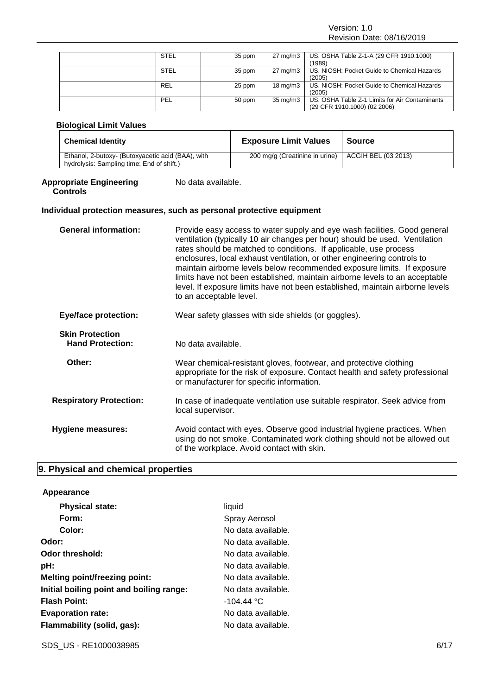Version: 1.0 Revision Date: 08/16/2019

| <b>STEL</b> | 35 ppm | $27 \text{ mg/m}$ | US. OSHA Table Z-1-A (29 CFR 1910.1000)        |
|-------------|--------|-------------------|------------------------------------------------|
|             |        |                   | (1989)                                         |
| <b>STEL</b> | 35 ppm | $27 \text{ mg/m}$ | US. NIOSH: Pocket Guide to Chemical Hazards    |
|             |        |                   | (2005)                                         |
| <b>REL</b>  | 25 ppm | $18 \text{ mg/m}$ | US. NIOSH: Pocket Guide to Chemical Hazards    |
|             |        |                   | (2005)                                         |
| PEL         | 50 ppm | $35 \text{ mg/m}$ | US. OSHA Table Z-1 Limits for Air Contaminants |
|             |        |                   | (29 CFR 1910.1000) (02 2006)                   |

#### **Biological Limit Values**

| <b>Chemical Identity</b>                                                                       | <b>Exposure Limit Values</b>   | <b>Source</b>       |
|------------------------------------------------------------------------------------------------|--------------------------------|---------------------|
| Ethanol, 2-butoxy- (Butoxyacetic acid (BAA), with<br>hydrolysis: Sampling time: End of shift.) | 200 mg/g (Creatinine in urine) | ACGIH BEL (03 2013) |

#### **Appropriate Engineering Controls**

#### **Individual protection measures, such as personal protective equipment**

No data available.

| <b>General information:</b>                       | Provide easy access to water supply and eye wash facilities. Good general<br>ventilation (typically 10 air changes per hour) should be used. Ventilation<br>rates should be matched to conditions. If applicable, use process<br>enclosures, local exhaust ventilation, or other engineering controls to<br>maintain airborne levels below recommended exposure limits. If exposure<br>limits have not been established, maintain airborne levels to an acceptable<br>level. If exposure limits have not been established, maintain airborne levels<br>to an acceptable level. |
|---------------------------------------------------|--------------------------------------------------------------------------------------------------------------------------------------------------------------------------------------------------------------------------------------------------------------------------------------------------------------------------------------------------------------------------------------------------------------------------------------------------------------------------------------------------------------------------------------------------------------------------------|
| <b>Eye/face protection:</b>                       | Wear safety glasses with side shields (or goggles).                                                                                                                                                                                                                                                                                                                                                                                                                                                                                                                            |
| <b>Skin Protection</b><br><b>Hand Protection:</b> | No data available.                                                                                                                                                                                                                                                                                                                                                                                                                                                                                                                                                             |
| Other:                                            | Wear chemical-resistant gloves, footwear, and protective clothing<br>appropriate for the risk of exposure. Contact health and safety professional<br>or manufacturer for specific information.                                                                                                                                                                                                                                                                                                                                                                                 |
| <b>Respiratory Protection:</b>                    | In case of inadequate ventilation use suitable respirator. Seek advice from<br>local supervisor.                                                                                                                                                                                                                                                                                                                                                                                                                                                                               |
| <b>Hygiene measures:</b>                          | Avoid contact with eyes. Observe good industrial hygiene practices. When<br>using do not smoke. Contaminated work clothing should not be allowed out<br>of the workplace. Avoid contact with skin.                                                                                                                                                                                                                                                                                                                                                                             |

### **9. Physical and chemical properties**

### **Appearance Physical state:** liquid Form: Spray Aerosol **Color:** No data available. **Odor:** No data available. **Odor threshold:** No data available. **pH:** No data available. **Melting point/freezing point:** No data available. **Initial boiling point and boiling range:** No data available. **Flash Point:**  $-104.44 \text{ °C}$ **Evaporation rate:** No data available. Flammability (solid, gas): No data available.

SDS\_US - RE1000038985 6/17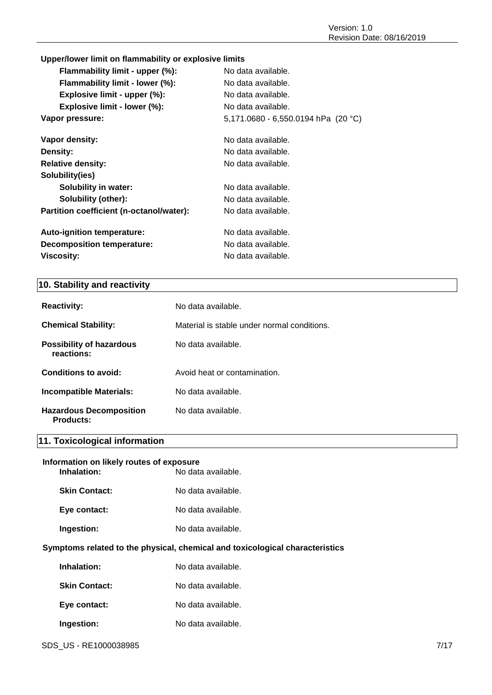### **Upper/lower limit on flammability or explosive limits**

| Flammability limit - upper (%):          | No data available.                    |
|------------------------------------------|---------------------------------------|
| Flammability limit - lower (%):          | No data available.                    |
| Explosive limit - upper (%):             | No data available.                    |
| Explosive limit - lower (%):             | No data available.                    |
| Vapor pressure:                          | 5,171.0680 - 6,550.0194 hPa $(20 °C)$ |
| Vapor density:                           | No data available.                    |
| Density:                                 | No data available.                    |
| <b>Relative density:</b>                 | No data available.                    |
| Solubility(ies)                          |                                       |
| <b>Solubility in water:</b>              | No data available.                    |
| Solubility (other):                      | No data available.                    |
| Partition coefficient (n-octanol/water): | No data available.                    |
| <b>Auto-ignition temperature:</b>        | No data available.                    |
| <b>Decomposition temperature:</b>        | No data available.                    |
| <b>Viscosity:</b>                        | No data available.                    |
|                                          |                                       |

### **10. Stability and reactivity**

| <b>Reactivity:</b>                                 | No data available.                          |
|----------------------------------------------------|---------------------------------------------|
| <b>Chemical Stability:</b>                         | Material is stable under normal conditions. |
| <b>Possibility of hazardous</b><br>reactions:      | No data available.                          |
| Conditions to avoid:                               | Avoid heat or contamination.                |
| <b>Incompatible Materials:</b>                     | No data available.                          |
| <b>Hazardous Decomposition</b><br><b>Products:</b> | No data available.                          |

### **11. Toxicological information**

### **Information on likely routes of exposure Inhalation:** No data available.

| Skin Contact: | No data available. |
|---------------|--------------------|
| Eye contact:  | No data available. |
| Ingestion:    | No data available. |

### **Symptoms related to the physical, chemical and toxicological characteristics**

| Inhalation:          | No data available. |
|----------------------|--------------------|
| <b>Skin Contact:</b> | No data available. |
| Eye contact:         | No data available. |
| Ingestion:           | No data available. |

SDS\_US - RE1000038985 7/17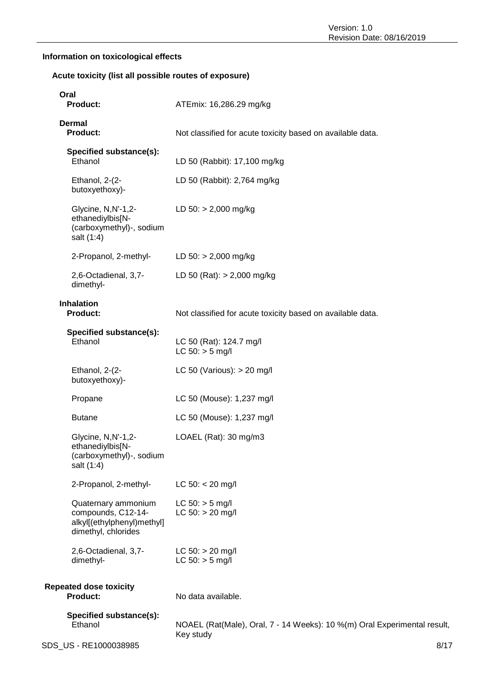### **Information on toxicological effects**

### **Acute toxicity (list all possible routes of exposure)**

| Oral<br><b>Product:</b>                                                                        | ATEmix: 16,286.29 mg/kg                                                               |
|------------------------------------------------------------------------------------------------|---------------------------------------------------------------------------------------|
| <b>Dermal</b><br><b>Product:</b>                                                               | Not classified for acute toxicity based on available data.                            |
| Specified substance(s):<br>Ethanol                                                             | LD 50 (Rabbit): 17,100 mg/kg                                                          |
| Ethanol, 2-(2-<br>butoxyethoxy)-                                                               | LD 50 (Rabbit): 2,764 mg/kg                                                           |
| Glycine, N,N'-1,2-<br>ethanediylbis[N-<br>(carboxymethyl)-, sodium<br>salt (1:4)               | LD $50:$ > 2,000 mg/kg                                                                |
| 2-Propanol, 2-methyl-                                                                          | LD $50:$ > 2,000 mg/kg                                                                |
| 2,6-Octadienal, 3,7-<br>dimethyl-                                                              | LD 50 (Rat): $> 2,000$ mg/kg                                                          |
| <b>Inhalation</b><br><b>Product:</b>                                                           | Not classified for acute toxicity based on available data.                            |
| Specified substance(s):<br>Ethanol                                                             | LC 50 (Rat): 124.7 mg/l<br>$LC 50:$ > 5 mg/l                                          |
| Ethanol, 2-(2-<br>butoxyethoxy)-                                                               | LC 50 (Various): $> 20$ mg/l                                                          |
| Propane                                                                                        | LC 50 (Mouse): 1,237 mg/l                                                             |
| <b>Butane</b>                                                                                  | LC 50 (Mouse): 1,237 mg/l                                                             |
| Glycine, N, N'-1, 2-<br>ethanediylbis[N-<br>(carboxymethyl)-, sodium<br>salt (1:4)             | LOAEL (Rat): 30 mg/m3                                                                 |
| 2-Propanol, 2-methyl-                                                                          | $LC$ 50: < 20 mg/l                                                                    |
| Quaternary ammonium<br>compounds, C12-14-<br>alkyl[(ethylphenyl)methyl]<br>dimethyl, chlorides | $LC 50: > 5$ mg/l<br>$LC 50: > 20$ mg/l                                               |
| 2,6-Octadienal, 3,7-<br>dimethyl-                                                              | $LC 50: > 20$ mg/l<br>$LC 50:$ > 5 mg/l                                               |
| <b>Repeated dose toxicity</b><br><b>Product:</b>                                               | No data available.                                                                    |
| Specified substance(s):<br>Ethanol                                                             | NOAEL (Rat(Male), Oral, 7 - 14 Weeks): 10 %(m) Oral Experimental result,<br>Key study |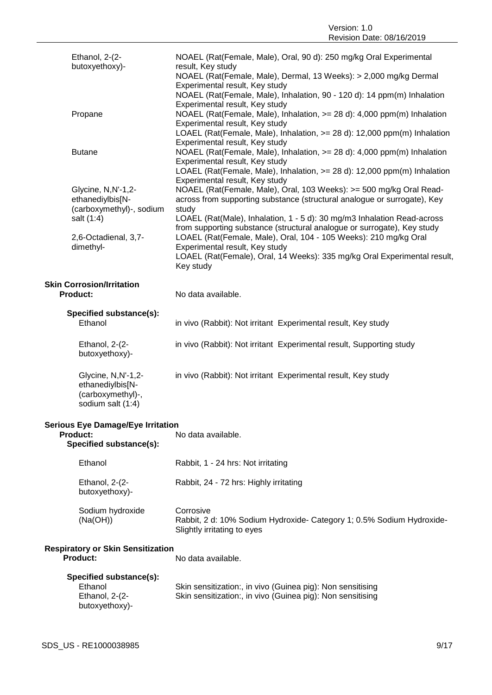Version: 1.0 Revision Date: 08/16/2019

| Ethanol, 2-(2-<br>butoxyethoxy)-                                                 | NOAEL (Rat(Female, Male), Oral, 90 d): 250 mg/kg Oral Experimental<br>result, Key study                                                                                                     |
|----------------------------------------------------------------------------------|---------------------------------------------------------------------------------------------------------------------------------------------------------------------------------------------|
|                                                                                  | NOAEL (Rat(Female, Male), Dermal, 13 Weeks): > 2,000 mg/kg Dermal<br>Experimental result, Key study                                                                                         |
|                                                                                  | NOAEL (Rat(Female, Male), Inhalation, 90 - 120 d): 14 ppm(m) Inhalation<br>Experimental result, Key study                                                                                   |
| Propane                                                                          | NOAEL (Rat(Female, Male), Inhalation, >= 28 d): 4,000 ppm(m) Inhalation<br>Experimental result, Key study                                                                                   |
|                                                                                  | LOAEL (Rat(Female, Male), Inhalation, >= 28 d): 12,000 ppm(m) Inhalation<br>Experimental result, Key study                                                                                  |
| <b>Butane</b>                                                                    | NOAEL (Rat(Female, Male), Inhalation, >= 28 d): 4,000 ppm(m) Inhalation<br>Experimental result, Key study                                                                                   |
|                                                                                  | LOAEL (Rat(Female, Male), Inhalation, >= 28 d): 12,000 ppm(m) Inhalation<br>Experimental result, Key study                                                                                  |
| Glycine, N,N'-1,2-<br>ethanediylbis[N-<br>(carboxymethyl)-, sodium               | NOAEL (Rat(Female, Male), Oral, 103 Weeks): >= 500 mg/kg Oral Read-<br>across from supporting substance (structural analogue or surrogate), Key<br>study                                    |
| salt (1:4)                                                                       | LOAEL (Rat(Male), Inhalation, 1 - 5 d): 30 mg/m3 Inhalation Read-across<br>from supporting substance (structural analogue or surrogate), Key study                                          |
| 2,6-Octadienal, 3,7-<br>dimethyl-                                                | LOAEL (Rat(Female, Male), Oral, 104 - 105 Weeks): 210 mg/kg Oral<br>Experimental result, Key study<br>LOAEL (Rat(Female), Oral, 14 Weeks): 335 mg/kg Oral Experimental result,<br>Key study |
| <b>Skin Corrosion/Irritation</b>                                                 |                                                                                                                                                                                             |
| <b>Product:</b>                                                                  | No data available.                                                                                                                                                                          |
| Specified substance(s):                                                          |                                                                                                                                                                                             |
| Ethanol                                                                          | in vivo (Rabbit): Not irritant Experimental result, Key study                                                                                                                               |
| Ethanol, 2-(2-<br>butoxyethoxy)-                                                 | in vivo (Rabbit): Not irritant Experimental result, Supporting study                                                                                                                        |
| Glycine, N,N'-1,2-<br>ethanediylbis[N-<br>(carboxymethyl)-,<br>sodium salt (1:4) | in vivo (Rabbit): Not irritant Experimental result, Key study                                                                                                                               |
| <b>Serious Eye Damage/Eye Irritation</b>                                         |                                                                                                                                                                                             |
| <b>Product:</b><br>Specified substance(s):                                       | No data available.                                                                                                                                                                          |
| Ethanol                                                                          | Rabbit, 1 - 24 hrs: Not irritating                                                                                                                                                          |
| Ethanol, 2-(2-<br>butoxyethoxy)-                                                 | Rabbit, 24 - 72 hrs: Highly irritating                                                                                                                                                      |
| Sodium hydroxide<br>(Na(OH))                                                     | Corrosive<br>Rabbit, 2 d: 10% Sodium Hydroxide- Category 1; 0.5% Sodium Hydroxide-<br>Slightly irritating to eyes                                                                           |
| <b>Respiratory or Skin Sensitization</b><br><b>Product:</b>                      | No data available.                                                                                                                                                                          |
| Specified substance(s):<br>Ethanol<br>Ethanol, 2-(2-                             | Skin sensitization:, in vivo (Guinea pig): Non sensitising<br>Skin sensitization:, in vivo (Guinea pig): Non sensitising                                                                    |
| butoxyethoxy)-                                                                   |                                                                                                                                                                                             |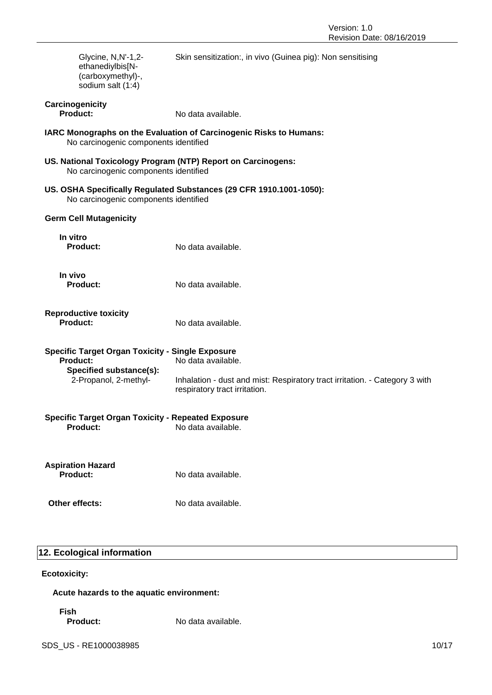| Glycine, N,N'-1,2-<br>ethanediylbis[N-<br>(carboxymethyl)-,<br>sodium salt (1:4)                      | Skin sensitization:, in vivo (Guinea pig): Non sensitising                                                   |  |
|-------------------------------------------------------------------------------------------------------|--------------------------------------------------------------------------------------------------------------|--|
| Carcinogenicity<br><b>Product:</b>                                                                    | No data available.                                                                                           |  |
| No carcinogenic components identified                                                                 | IARC Monographs on the Evaluation of Carcinogenic Risks to Humans:                                           |  |
| US. National Toxicology Program (NTP) Report on Carcinogens:<br>No carcinogenic components identified |                                                                                                              |  |
| No carcinogenic components identified                                                                 | US. OSHA Specifically Regulated Substances (29 CFR 1910.1001-1050):                                          |  |
| <b>Germ Cell Mutagenicity</b>                                                                         |                                                                                                              |  |
| In vitro<br><b>Product:</b>                                                                           | No data available.                                                                                           |  |
| In vivo<br><b>Product:</b>                                                                            | No data available.                                                                                           |  |
| <b>Reproductive toxicity</b><br><b>Product:</b>                                                       | No data available.                                                                                           |  |
| <b>Specific Target Organ Toxicity - Single Exposure</b>                                               |                                                                                                              |  |
| <b>Product:</b><br>Specified substance(s):                                                            | No data available.                                                                                           |  |
| 2-Propanol, 2-methyl-                                                                                 | Inhalation - dust and mist: Respiratory tract irritation. - Category 3 with<br>respiratory tract irritation. |  |
| <b>Specific Target Organ Toxicity - Repeated Exposure</b><br><b>Product:</b>                          | No data available.                                                                                           |  |
| <b>Aspiration Hazard</b><br><b>Product:</b>                                                           | No data available.                                                                                           |  |
| Other effects:                                                                                        | No data available.                                                                                           |  |

### **12. Ecological information**

### **Ecotoxicity:**

**Acute hazards to the aquatic environment:**

### **Fish**

**Product:** No data available.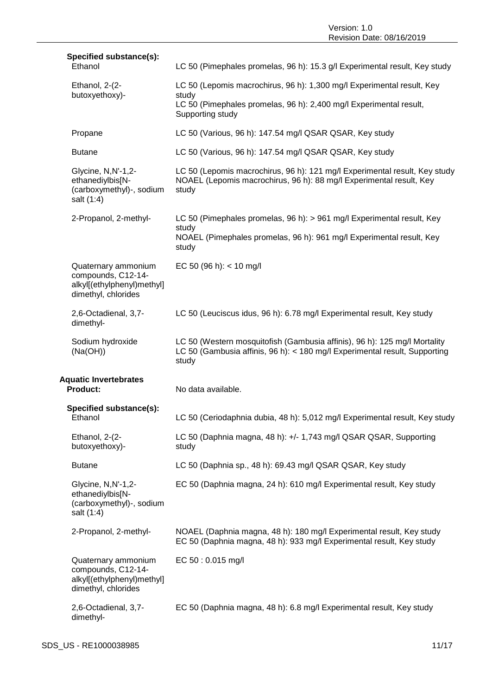Version: 1.0 Revision Date: 08/16/2019

| Specified substance(s):<br>Ethanol                                                             | LC 50 (Pimephales promelas, 96 h): 15.3 g/l Experimental result, Key study                                                                                       |
|------------------------------------------------------------------------------------------------|------------------------------------------------------------------------------------------------------------------------------------------------------------------|
| Ethanol, 2-(2-                                                                                 | LC 50 (Lepomis macrochirus, 96 h): 1,300 mg/l Experimental result, Key                                                                                           |
| butoxyethoxy)-                                                                                 | study<br>LC 50 (Pimephales promelas, 96 h): 2,400 mg/l Experimental result,<br>Supporting study                                                                  |
| Propane                                                                                        | LC 50 (Various, 96 h): 147.54 mg/l QSAR QSAR, Key study                                                                                                          |
| <b>Butane</b>                                                                                  | LC 50 (Various, 96 h): 147.54 mg/l QSAR QSAR, Key study                                                                                                          |
| Glycine, N, N'-1, 2-<br>ethanediylbis[N-<br>(carboxymethyl)-, sodium<br>salt (1:4)             | LC 50 (Lepomis macrochirus, 96 h): 121 mg/l Experimental result, Key study<br>NOAEL (Lepomis macrochirus, 96 h): 88 mg/l Experimental result, Key<br>study       |
| 2-Propanol, 2-methyl-                                                                          | LC 50 (Pimephales promelas, 96 h): > 961 mg/l Experimental result, Key                                                                                           |
|                                                                                                | study<br>NOAEL (Pimephales promelas, 96 h): 961 mg/l Experimental result, Key<br>study                                                                           |
| Quaternary ammonium<br>compounds, C12-14-<br>alkyl[(ethylphenyl)methyl]<br>dimethyl, chlorides | EC 50 (96 h): $<$ 10 mg/l                                                                                                                                        |
| 2,6-Octadienal, 3,7-<br>dimethyl-                                                              | LC 50 (Leuciscus idus, 96 h): 6.78 mg/l Experimental result, Key study                                                                                           |
| Sodium hydroxide<br>(Na(OH))                                                                   | LC 50 (Western mosquitofish (Gambusia affinis), 96 h): 125 mg/l Mortality<br>LC 50 (Gambusia affinis, 96 h): < 180 mg/l Experimental result, Supporting<br>study |
| <b>Aquatic Invertebrates</b><br>Product:                                                       | No data available.                                                                                                                                               |
| Specified substance(s):<br>Ethanol                                                             | LC 50 (Ceriodaphnia dubia, 48 h): 5,012 mg/l Experimental result, Key study                                                                                      |
| Ethanol, 2-(2-<br>butoxyethoxy)-                                                               | LC 50 (Daphnia magna, 48 h): +/- 1,743 mg/l QSAR QSAR, Supporting<br>study                                                                                       |
| <b>Butane</b>                                                                                  | LC 50 (Daphnia sp., 48 h): 69.43 mg/l QSAR QSAR, Key study                                                                                                       |
| Glycine, N,N'-1,2-<br>ethanediylbis[N-<br>(carboxymethyl)-, sodium<br>salt (1:4)               | EC 50 (Daphnia magna, 24 h): 610 mg/l Experimental result, Key study                                                                                             |
| 2-Propanol, 2-methyl-                                                                          | NOAEL (Daphnia magna, 48 h): 180 mg/l Experimental result, Key study<br>EC 50 (Daphnia magna, 48 h): 933 mg/l Experimental result, Key study                     |
| Quaternary ammonium<br>compounds, C12-14-<br>alkyl[(ethylphenyl)methyl]<br>dimethyl, chlorides | EC 50: 0.015 mg/l                                                                                                                                                |
| 2,6-Octadienal, 3,7-<br>dimethyl-                                                              | EC 50 (Daphnia magna, 48 h): 6.8 mg/l Experimental result, Key study                                                                                             |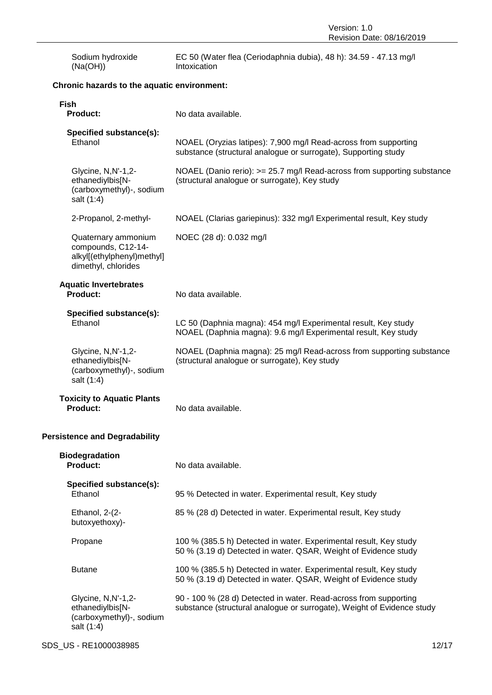| Sodium hydroxide<br>(Na(OH))                                                                   | EC 50 (Water flea (Ceriodaphnia dubia), 48 h): 34.59 - 47.13 mg/l<br>Intoxication                                                          |
|------------------------------------------------------------------------------------------------|--------------------------------------------------------------------------------------------------------------------------------------------|
| Chronic hazards to the aquatic environment:                                                    |                                                                                                                                            |
| <b>Fish</b><br><b>Product:</b>                                                                 | No data available.                                                                                                                         |
| Specified substance(s):<br>Ethanol                                                             | NOAEL (Oryzias latipes): 7,900 mg/l Read-across from supporting<br>substance (structural analogue or surrogate), Supporting study          |
| Glycine, N,N'-1,2-<br>ethanediylbis[N-<br>(carboxymethyl)-, sodium<br>salt (1:4)               | NOAEL (Danio rerio): >= 25.7 mg/l Read-across from supporting substance<br>(structural analogue or surrogate), Key study                   |
| 2-Propanol, 2-methyl-                                                                          | NOAEL (Clarias gariepinus): 332 mg/l Experimental result, Key study                                                                        |
| Quaternary ammonium<br>compounds, C12-14-<br>alkyl[(ethylphenyl)methyl]<br>dimethyl, chlorides | NOEC (28 d): 0.032 mg/l                                                                                                                    |
| <b>Aquatic Invertebrates</b><br><b>Product:</b>                                                | No data available.                                                                                                                         |
| Specified substance(s):<br>Ethanol                                                             | LC 50 (Daphnia magna): 454 mg/l Experimental result, Key study<br>NOAEL (Daphnia magna): 9.6 mg/l Experimental result, Key study           |
| Glycine, N, N'-1, 2-<br>ethanediylbis[N-<br>(carboxymethyl)-, sodium<br>salt (1:4)             | NOAEL (Daphnia magna): 25 mg/l Read-across from supporting substance<br>(structural analogue or surrogate), Key study                      |
| <b>Toxicity to Aquatic Plants</b><br>Product:                                                  | No data available.                                                                                                                         |
| <b>Persistence and Degradability</b>                                                           |                                                                                                                                            |
| <b>Biodegradation</b><br>Product:                                                              | No data available.                                                                                                                         |
| Specified substance(s):<br>Ethanol                                                             | 95 % Detected in water. Experimental result, Key study                                                                                     |
| Ethanol, 2-(2-<br>butoxyethoxy)-                                                               | 85 % (28 d) Detected in water. Experimental result, Key study                                                                              |
| Propane                                                                                        | 100 % (385.5 h) Detected in water. Experimental result, Key study<br>50 % (3.19 d) Detected in water. QSAR, Weight of Evidence study       |
| <b>Butane</b>                                                                                  | 100 % (385.5 h) Detected in water. Experimental result, Key study<br>50 % (3.19 d) Detected in water. QSAR, Weight of Evidence study       |
| Glycine, N, N'-1, 2-<br>ethanediylbis[N-<br>(carboxymethyl)-, sodium<br>salt (1:4)             | 90 - 100 % (28 d) Detected in water. Read-across from supporting<br>substance (structural analogue or surrogate), Weight of Evidence study |

### SDS\_US - RE1000038985 12/17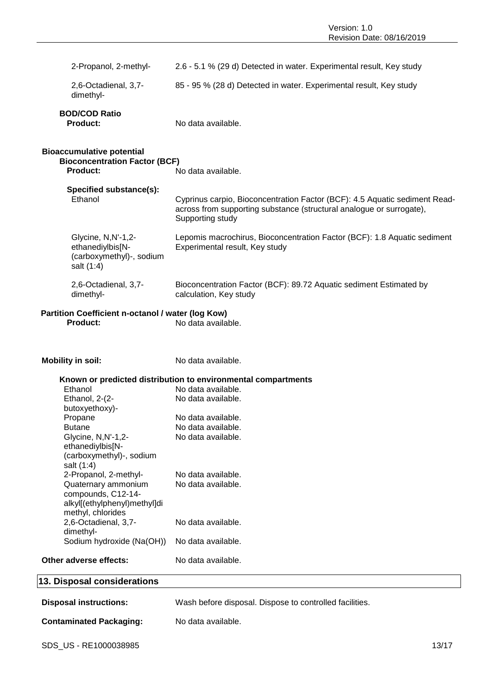| 2-Propanol, 2-methyl-<br>2.6 - 5.1 % (29 d) Detected in water. Experimental result, Key study<br>2,6-Octadienal, 3,7-<br>85 - 95 % (28 d) Detected in water. Experimental result, Key study<br>dimethyl-<br><b>BOD/COD Ratio</b><br>No data available.<br><b>Product:</b><br><b>Bioaccumulative potential</b><br><b>Bioconcentration Factor (BCF)</b><br><b>Product:</b><br>No data available.<br>Specified substance(s):<br>Ethanol<br>Cyprinus carpio, Bioconcentration Factor (BCF): 4.5 Aquatic sediment Read-<br>across from supporting substance (structural analogue or surrogate),<br>Supporting study<br>Glycine, N, N'-1, 2-<br>Lepomis macrochirus, Bioconcentration Factor (BCF): 1.8 Aquatic sediment<br>ethanediylbis[N-<br>Experimental result, Key study<br>(carboxymethyl)-, sodium<br>salt (1:4)<br>2,6-Octadienal, 3,7-<br>Bioconcentration Factor (BCF): 89.72 Aquatic sediment Estimated by<br>dimethyl-<br>calculation, Key study<br>Partition Coefficient n-octanol / water (log Kow)<br><b>Product:</b><br>No data available.<br><b>Mobility in soil:</b><br>No data available.<br>Known or predicted distribution to environmental compartments<br>Ethanol<br>No data available.<br>Ethanol, 2-(2-<br>No data available.<br>butoxyethoxy)-<br>No data available.<br>Propane<br><b>Butane</b><br>No data available.<br>No data available.<br>Glycine, N,N'-1,2-<br>ethanediylbis[N-<br>(carboxymethyl)-, sodium<br>salt (1:4)<br>2-Propanol, 2-methyl-<br>No data available.<br>Quaternary ammonium<br>No data available.<br>compounds, C12-14-<br>alkyl[(ethylphenyl)methyl]di<br>methyl, chlorides<br>2,6-Octadienal, 3,7-<br>No data available.<br>dimethyl-<br>Sodium hydroxide (Na(OH))<br>No data available.<br>Other adverse effects:<br>No data available.<br><b>Disposal instructions:</b><br>Wash before disposal. Dispose to controlled facilities. |                             |  |
|----------------------------------------------------------------------------------------------------------------------------------------------------------------------------------------------------------------------------------------------------------------------------------------------------------------------------------------------------------------------------------------------------------------------------------------------------------------------------------------------------------------------------------------------------------------------------------------------------------------------------------------------------------------------------------------------------------------------------------------------------------------------------------------------------------------------------------------------------------------------------------------------------------------------------------------------------------------------------------------------------------------------------------------------------------------------------------------------------------------------------------------------------------------------------------------------------------------------------------------------------------------------------------------------------------------------------------------------------------------------------------------------------------------------------------------------------------------------------------------------------------------------------------------------------------------------------------------------------------------------------------------------------------------------------------------------------------------------------------------------------------------------------------------------------------------------------------------------------------------------------------------|-----------------------------|--|
|                                                                                                                                                                                                                                                                                                                                                                                                                                                                                                                                                                                                                                                                                                                                                                                                                                                                                                                                                                                                                                                                                                                                                                                                                                                                                                                                                                                                                                                                                                                                                                                                                                                                                                                                                                                                                                                                                        |                             |  |
|                                                                                                                                                                                                                                                                                                                                                                                                                                                                                                                                                                                                                                                                                                                                                                                                                                                                                                                                                                                                                                                                                                                                                                                                                                                                                                                                                                                                                                                                                                                                                                                                                                                                                                                                                                                                                                                                                        |                             |  |
|                                                                                                                                                                                                                                                                                                                                                                                                                                                                                                                                                                                                                                                                                                                                                                                                                                                                                                                                                                                                                                                                                                                                                                                                                                                                                                                                                                                                                                                                                                                                                                                                                                                                                                                                                                                                                                                                                        |                             |  |
|                                                                                                                                                                                                                                                                                                                                                                                                                                                                                                                                                                                                                                                                                                                                                                                                                                                                                                                                                                                                                                                                                                                                                                                                                                                                                                                                                                                                                                                                                                                                                                                                                                                                                                                                                                                                                                                                                        |                             |  |
|                                                                                                                                                                                                                                                                                                                                                                                                                                                                                                                                                                                                                                                                                                                                                                                                                                                                                                                                                                                                                                                                                                                                                                                                                                                                                                                                                                                                                                                                                                                                                                                                                                                                                                                                                                                                                                                                                        |                             |  |
|                                                                                                                                                                                                                                                                                                                                                                                                                                                                                                                                                                                                                                                                                                                                                                                                                                                                                                                                                                                                                                                                                                                                                                                                                                                                                                                                                                                                                                                                                                                                                                                                                                                                                                                                                                                                                                                                                        |                             |  |
|                                                                                                                                                                                                                                                                                                                                                                                                                                                                                                                                                                                                                                                                                                                                                                                                                                                                                                                                                                                                                                                                                                                                                                                                                                                                                                                                                                                                                                                                                                                                                                                                                                                                                                                                                                                                                                                                                        |                             |  |
|                                                                                                                                                                                                                                                                                                                                                                                                                                                                                                                                                                                                                                                                                                                                                                                                                                                                                                                                                                                                                                                                                                                                                                                                                                                                                                                                                                                                                                                                                                                                                                                                                                                                                                                                                                                                                                                                                        |                             |  |
|                                                                                                                                                                                                                                                                                                                                                                                                                                                                                                                                                                                                                                                                                                                                                                                                                                                                                                                                                                                                                                                                                                                                                                                                                                                                                                                                                                                                                                                                                                                                                                                                                                                                                                                                                                                                                                                                                        |                             |  |
|                                                                                                                                                                                                                                                                                                                                                                                                                                                                                                                                                                                                                                                                                                                                                                                                                                                                                                                                                                                                                                                                                                                                                                                                                                                                                                                                                                                                                                                                                                                                                                                                                                                                                                                                                                                                                                                                                        |                             |  |
|                                                                                                                                                                                                                                                                                                                                                                                                                                                                                                                                                                                                                                                                                                                                                                                                                                                                                                                                                                                                                                                                                                                                                                                                                                                                                                                                                                                                                                                                                                                                                                                                                                                                                                                                                                                                                                                                                        |                             |  |
|                                                                                                                                                                                                                                                                                                                                                                                                                                                                                                                                                                                                                                                                                                                                                                                                                                                                                                                                                                                                                                                                                                                                                                                                                                                                                                                                                                                                                                                                                                                                                                                                                                                                                                                                                                                                                                                                                        |                             |  |
|                                                                                                                                                                                                                                                                                                                                                                                                                                                                                                                                                                                                                                                                                                                                                                                                                                                                                                                                                                                                                                                                                                                                                                                                                                                                                                                                                                                                                                                                                                                                                                                                                                                                                                                                                                                                                                                                                        |                             |  |
|                                                                                                                                                                                                                                                                                                                                                                                                                                                                                                                                                                                                                                                                                                                                                                                                                                                                                                                                                                                                                                                                                                                                                                                                                                                                                                                                                                                                                                                                                                                                                                                                                                                                                                                                                                                                                                                                                        |                             |  |
|                                                                                                                                                                                                                                                                                                                                                                                                                                                                                                                                                                                                                                                                                                                                                                                                                                                                                                                                                                                                                                                                                                                                                                                                                                                                                                                                                                                                                                                                                                                                                                                                                                                                                                                                                                                                                                                                                        |                             |  |
|                                                                                                                                                                                                                                                                                                                                                                                                                                                                                                                                                                                                                                                                                                                                                                                                                                                                                                                                                                                                                                                                                                                                                                                                                                                                                                                                                                                                                                                                                                                                                                                                                                                                                                                                                                                                                                                                                        |                             |  |
|                                                                                                                                                                                                                                                                                                                                                                                                                                                                                                                                                                                                                                                                                                                                                                                                                                                                                                                                                                                                                                                                                                                                                                                                                                                                                                                                                                                                                                                                                                                                                                                                                                                                                                                                                                                                                                                                                        |                             |  |
|                                                                                                                                                                                                                                                                                                                                                                                                                                                                                                                                                                                                                                                                                                                                                                                                                                                                                                                                                                                                                                                                                                                                                                                                                                                                                                                                                                                                                                                                                                                                                                                                                                                                                                                                                                                                                                                                                        |                             |  |
|                                                                                                                                                                                                                                                                                                                                                                                                                                                                                                                                                                                                                                                                                                                                                                                                                                                                                                                                                                                                                                                                                                                                                                                                                                                                                                                                                                                                                                                                                                                                                                                                                                                                                                                                                                                                                                                                                        |                             |  |
|                                                                                                                                                                                                                                                                                                                                                                                                                                                                                                                                                                                                                                                                                                                                                                                                                                                                                                                                                                                                                                                                                                                                                                                                                                                                                                                                                                                                                                                                                                                                                                                                                                                                                                                                                                                                                                                                                        |                             |  |
|                                                                                                                                                                                                                                                                                                                                                                                                                                                                                                                                                                                                                                                                                                                                                                                                                                                                                                                                                                                                                                                                                                                                                                                                                                                                                                                                                                                                                                                                                                                                                                                                                                                                                                                                                                                                                                                                                        |                             |  |
|                                                                                                                                                                                                                                                                                                                                                                                                                                                                                                                                                                                                                                                                                                                                                                                                                                                                                                                                                                                                                                                                                                                                                                                                                                                                                                                                                                                                                                                                                                                                                                                                                                                                                                                                                                                                                                                                                        |                             |  |
|                                                                                                                                                                                                                                                                                                                                                                                                                                                                                                                                                                                                                                                                                                                                                                                                                                                                                                                                                                                                                                                                                                                                                                                                                                                                                                                                                                                                                                                                                                                                                                                                                                                                                                                                                                                                                                                                                        |                             |  |
|                                                                                                                                                                                                                                                                                                                                                                                                                                                                                                                                                                                                                                                                                                                                                                                                                                                                                                                                                                                                                                                                                                                                                                                                                                                                                                                                                                                                                                                                                                                                                                                                                                                                                                                                                                                                                                                                                        |                             |  |
|                                                                                                                                                                                                                                                                                                                                                                                                                                                                                                                                                                                                                                                                                                                                                                                                                                                                                                                                                                                                                                                                                                                                                                                                                                                                                                                                                                                                                                                                                                                                                                                                                                                                                                                                                                                                                                                                                        | 13. Disposal considerations |  |
|                                                                                                                                                                                                                                                                                                                                                                                                                                                                                                                                                                                                                                                                                                                                                                                                                                                                                                                                                                                                                                                                                                                                                                                                                                                                                                                                                                                                                                                                                                                                                                                                                                                                                                                                                                                                                                                                                        |                             |  |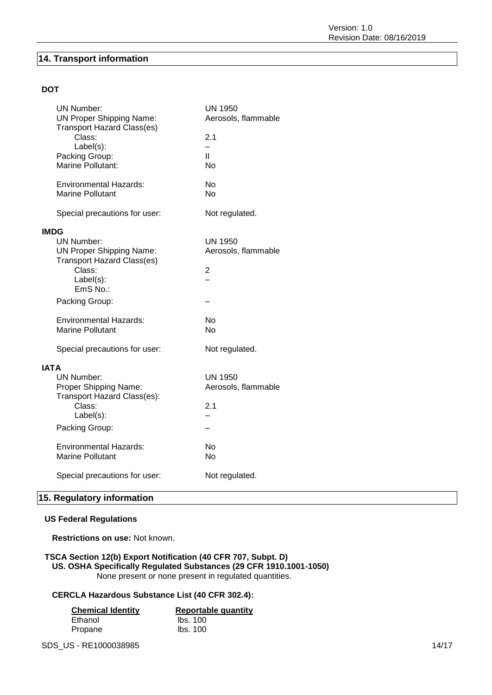### **14. Transport information**

### **DOT**

| <b>UN Number:</b><br><b>UN Proper Shipping Name:</b><br><b>Transport Hazard Class(es)</b><br>Class:                                         | <b>UN 1950</b><br>Aerosols, flammable<br>2.1            |
|---------------------------------------------------------------------------------------------------------------------------------------------|---------------------------------------------------------|
| Label(s):<br>Packing Group:<br>Marine Pollutant:                                                                                            | $\overline{\phantom{0}}$<br>$\mathbf{H}$<br><b>No</b>   |
| <b>Environmental Hazards:</b><br>Marine Pollutant                                                                                           | No<br>No                                                |
| Special precautions for user:                                                                                                               | Not regulated.                                          |
| <b>IMDG</b><br><b>UN Number:</b><br><b>UN Proper Shipping Name:</b><br><b>Transport Hazard Class(es)</b><br>Class:<br>Label(s):<br>EmS No.: | <b>UN 1950</b><br>Aerosols, flammable<br>$\overline{2}$ |
| Packing Group:                                                                                                                              |                                                         |
| <b>Environmental Hazards:</b><br><b>Marine Pollutant</b>                                                                                    | No<br><b>No</b>                                         |
| Special precautions for user:                                                                                                               | Not regulated.                                          |
| <b>IATA</b><br><b>UN Number:</b><br>Proper Shipping Name:<br>Transport Hazard Class(es):<br>Class:<br>Label(s):                             | <b>UN 1950</b><br>Aerosols, flammable<br>2.1            |
| Packing Group:                                                                                                                              |                                                         |
| <b>Environmental Hazards:</b><br><b>Marine Pollutant</b>                                                                                    | No<br>Nο                                                |
| Special precautions for user:                                                                                                               | Not regulated.                                          |

### **15. Regulatory information**

### **US Federal Regulations**

**Restrictions on use:** Not known.

### **TSCA Section 12(b) Export Notification (40 CFR 707, Subpt. D) US. OSHA Specifically Regulated Substances (29 CFR 1910.1001-1050)** None present or none present in regulated quantities.

### **CERCLA Hazardous Substance List (40 CFR 302.4):**

| <b>Chemical Identity</b> | <b>Reportable quantity</b> |
|--------------------------|----------------------------|
| Ethanol                  | lbs. 100                   |
| Propane                  | lbs. 100                   |

SDS\_US - RE1000038985 14/17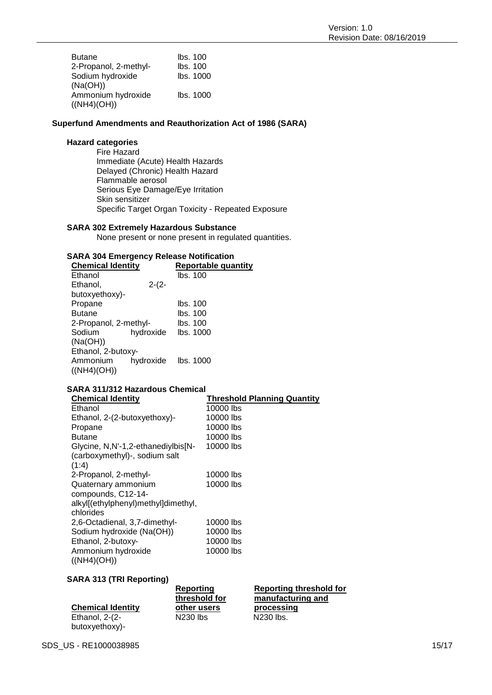| <b>Butane</b>         | lbs. 100  |
|-----------------------|-----------|
| 2-Propanol, 2-methyl- | lbs. 100  |
| Sodium hydroxide      | Ibs. 1000 |
| (Na(OH))              |           |
| Ammonium hydroxide    | Ibs. 1000 |
| ((NH4)(OH))           |           |

### **Superfund Amendments and Reauthorization Act of 1986 (SARA)**

### **Hazard categories**

Fire Hazard Immediate (Acute) Health Hazards Delayed (Chronic) Health Hazard Flammable aerosol Serious Eye Damage/Eye Irritation Skin sensitizer Specific Target Organ Toxicity - Repeated Exposure

### **SARA 302 Extremely Hazardous Substance**

None present or none present in regulated quantities.

### **SARA 304 Emergency Release Notification**

| <b>Chemical Identity</b> |           | <b>Reportable quantity</b> |  |
|--------------------------|-----------|----------------------------|--|
| Ethanol                  |           | lbs. 100                   |  |
| Ethanol,                 | $2-(2-$   |                            |  |
| butoxyethoxy)-           |           |                            |  |
| Propane                  |           | lbs. 100                   |  |
| <b>Butane</b>            |           | lbs. 100                   |  |
| 2-Propanol, 2-methyl-    |           | lbs. 100                   |  |
| Sodium                   | hydroxide | lbs. 1000                  |  |
| (Na(OH))                 |           |                            |  |
| Ethanol, 2-butoxy-       |           |                            |  |
| Ammonium                 |           | hydroxide lbs. 1000        |  |
| ((NH4)(OH))              |           |                            |  |

### **SARA 311/312 Hazardous Chemical**

| <b>Chemical Identity</b>            | <b>Threshold Planning Quantity</b> |
|-------------------------------------|------------------------------------|
| Ethanol                             | 10000 lbs                          |
| Ethanol, 2-(2-butoxyethoxy)-        | 10000 lbs                          |
| Propane                             | 10000 lbs                          |
| <b>Butane</b>                       | 10000 lbs                          |
| Glycine, N,N'-1,2-ethanediylbis[N-  | 10000 lbs                          |
| (carboxymethyl)-, sodium salt       |                                    |
| (1:4)                               |                                    |
| 2-Propanol, 2-methyl-               | 10000 lbs                          |
| Quaternary ammonium                 | 10000 lbs                          |
| compounds, C12-14-                  |                                    |
| alkyl[(ethylphenyl)methyl]dimethyl, |                                    |
| chlorides                           |                                    |
| 2,6-Octadienal, 3,7-dimethyl-       | 10000 lbs                          |
| Sodium hydroxide (Na(OH))           | 10000 lbs                          |
| Ethanol, 2-butoxy-                  | 10000 lbs                          |
| Ammonium hydroxide                  | 10000 lbs                          |
| ((NH4)(OH))                         |                                    |

**Reporting** 

### **SARA 313 (TRI Reporting)**

|                          | Reporting     |
|--------------------------|---------------|
|                          | threshold for |
| <b>Chemical Identity</b> | other users   |
| Ethanol, $2-(2-$         | N230 lbs      |
| butoxyethoxy)-           |               |

**Reporting threshold for manufacturing and processing**  $N230$  lbs.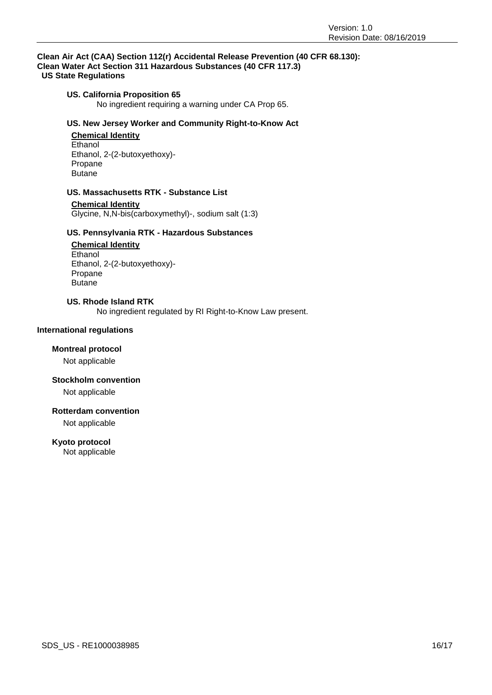#### **Clean Air Act (CAA) Section 112(r) Accidental Release Prevention (40 CFR 68.130): Clean Water Act Section 311 Hazardous Substances (40 CFR 117.3) US State Regulations**

### **US. California Proposition 65**

No ingredient requiring a warning under CA Prop 65.

### **US. New Jersey Worker and Community Right-to-Know Act**

#### **Chemical Identity Ethanol** Ethanol, 2-(2-butoxyethoxy)- Propane Butane

#### **US. Massachusetts RTK - Substance List**

**Chemical Identity** Glycine, N,N-bis(carboxymethyl)-, sodium salt (1:3)

### **US. Pennsylvania RTK - Hazardous Substances**

**Chemical Identity** Ethanol Ethanol, 2-(2-butoxyethoxy)- Propane Butane

### **US. Rhode Island RTK**

No ingredient regulated by RI Right-to-Know Law present.

### **International regulations**

#### **Montreal protocol**

Not applicable

#### **Stockholm convention**

Not applicable

### **Rotterdam convention**

Not applicable

#### **Kyoto protocol**

Not applicable